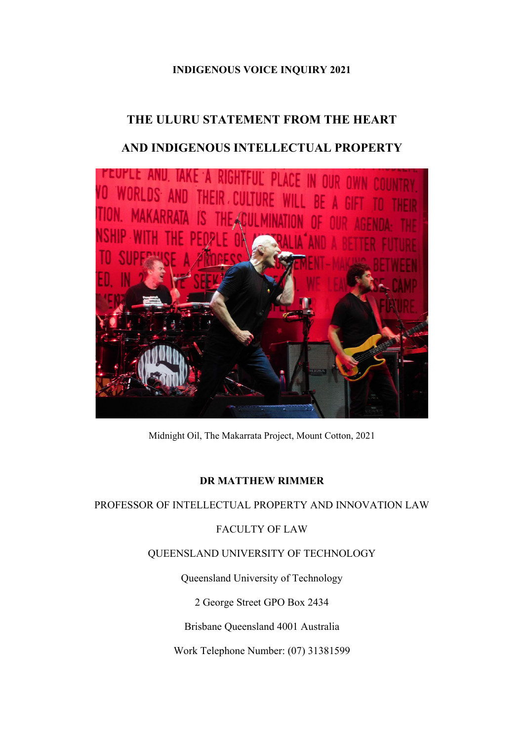## **INDIGENOUS VOICE INQUIRY 2021**

# **THE ULURU STATEMENT FROM THE HEART**

# **AND INDIGENOUS INTELLECTUAL PROPERTY**



Midnight Oil, The Makarrata Project, Mount Cotton, 2021

## **DR MATTHEW RIMMER**

PROFESSOR OF INTELLECTUAL PROPERTY AND INNOVATION LAW

## FACULTY OF LAW

QUEENSLAND UNIVERSITY OF TECHNOLOGY

Queensland University of Technology

2 George Street GPO Box 2434

Brisbane Queensland 4001 Australia

Work Telephone Number: (07) 31381599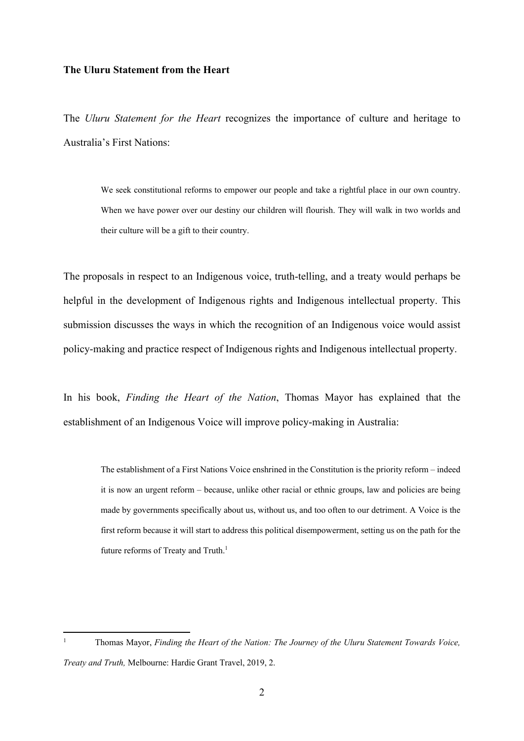#### **The Uluru Statement from the Heart**

The *Uluru Statement for the Heart* recognizes the importance of culture and heritage to Australia's First Nations:

 When we have power over our destiny our children will flourish. They will walk in two worlds and We seek constitutional reforms to empower our people and take a rightful place in our own country. their culture will be a gift to their country.

The proposals in respect to an Indigenous voice, truth-telling, and a treaty would perhaps be helpful in the development of Indigenous rights and Indigenous intellectual property. This submission discusses the ways in which the recognition of an Indigenous voice would assist policy-making and practice respect of Indigenous rights and Indigenous intellectual property.

In his book, *Finding the Heart of the Nation*, Thomas Mayor has explained that the establishment of an Indigenous Voice will improve policy-making in Australia:

The establishment of a First Nations Voice enshrined in the Constitution is the priority reform – indeed it is now an urgent reform – because, unlike other racial or ethnic groups, law and policies are being made by governments specifically about us, without us, and too often to our detriment. A Voice is the first reform because it will start to address this political disempowerment, setting us on the path for the future reforms of Treaty and Truth.<sup>1</sup>

 1 Thomas Mayor, *Finding the Heart of the Nation: The Journey of the Uluru Statement Towards Voice, Treaty and Truth,* Melbourne: Hardie Grant Travel, 2019, 2.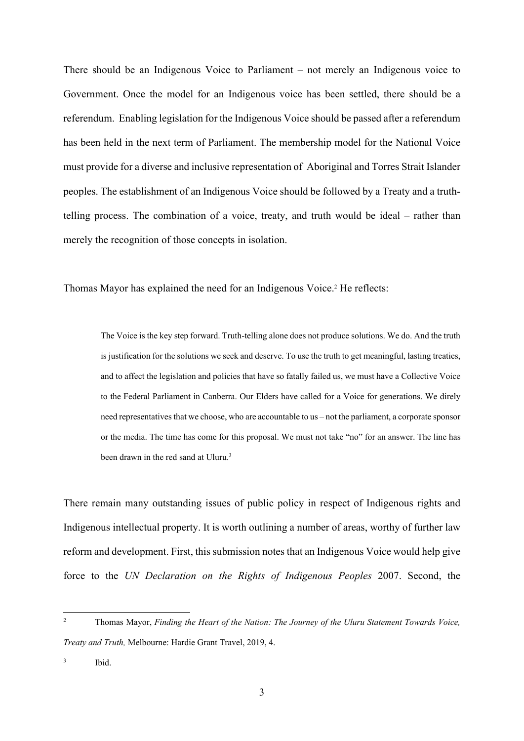There should be an Indigenous Voice to Parliament – not merely an Indigenous voice to Government. Once the model for an Indigenous voice has been settled, there should be a referendum. Enabling legislation for the Indigenous Voice should be passed after a referendum has been held in the next term of Parliament. The membership model for the National Voice must provide for a diverse and inclusive representation of Aboriginal and Torres Strait Islander peoples. The establishment of an Indigenous Voice should be followed by a Treaty and a truthtelling process. The combination of a voice, treaty, and truth would be ideal – rather than merely the recognition of those concepts in isolation.

Thomas Mayor has explained the need for an Indigenous Voice.<sup>2</sup> He reflects:

 and to affect the legislation and policies that have so fatally failed us, we must have a Collective Voice to the Federal Parliament in Canberra. Our Elders have called for a Voice for generations. We direly The Voice is the key step forward. Truth-telling alone does not produce solutions. We do. And the truth is justification for the solutions we seek and deserve. To use the truth to get meaningful, lasting treaties, need representatives that we choose, who are accountable to us – not the parliament, a corporate sponsor or the media. The time has come for this proposal. We must not take "no" for an answer. The line has been drawn in the red sand at Uluru.<sup>3</sup>

There remain many outstanding issues of public policy in respect of Indigenous rights and Indigenous intellectual property. It is worth outlining a number of areas, worthy of further law reform and development. First, this submission notes that an Indigenous Voice would help give force to the *UN Declaration on the Rights of Indigenous Peoples* 2007. Second, the

 $\overline{c}$ 2 Thomas Mayor, *Finding the Heart of the Nation: The Journey of the Uluru Statement Towards Voice, Treaty and Truth,* Melbourne: Hardie Grant Travel, 2019, 4.

 $\overline{\mathbf{3}}$ Ibid.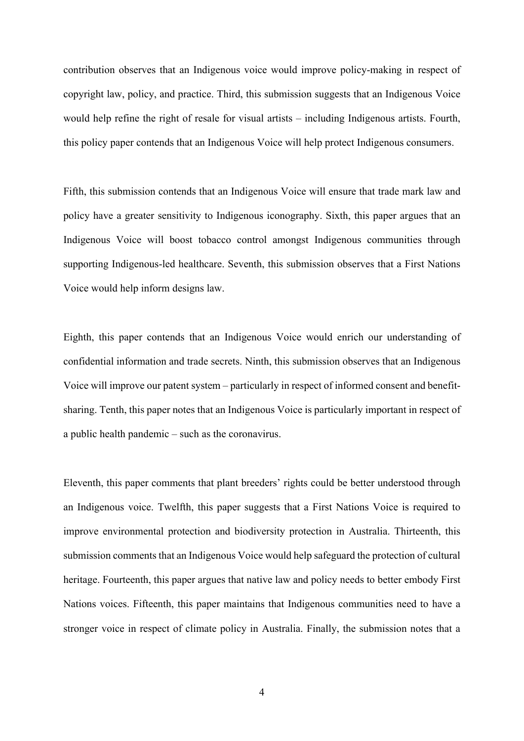contribution observes that an Indigenous voice would improve policy-making in respect of copyright law, policy, and practice. Third, this submission suggests that an Indigenous Voice would help refine the right of resale for visual artists – including Indigenous artists. Fourth, this policy paper contends that an Indigenous Voice will help protect Indigenous consumers.

Fifth, this submission contends that an Indigenous Voice will ensure that trade mark law and policy have a greater sensitivity to Indigenous iconography. Sixth, this paper argues that an Indigenous Voice will boost tobacco control amongst Indigenous communities through supporting Indigenous-led healthcare. Seventh, this submission observes that a First Nations Voice would help inform designs law.

Eighth, this paper contends that an Indigenous Voice would enrich our understanding of confidential information and trade secrets. Ninth, this submission observes that an Indigenous Voice will improve our patent system – particularly in respect of informed consent and benefitsharing. Tenth, this paper notes that an Indigenous Voice is particularly important in respect of a public health pandemic – such as the coronavirus.

Eleventh, this paper comments that plant breeders' rights could be better understood through an Indigenous voice. Twelfth, this paper suggests that a First Nations Voice is required to improve environmental protection and biodiversity protection in Australia. Thirteenth, this submission comments that an Indigenous Voice would help safeguard the protection of cultural heritage. Fourteenth, this paper argues that native law and policy needs to better embody First Nations voices. Fifteenth, this paper maintains that Indigenous communities need to have a stronger voice in respect of climate policy in Australia. Finally, the submission notes that a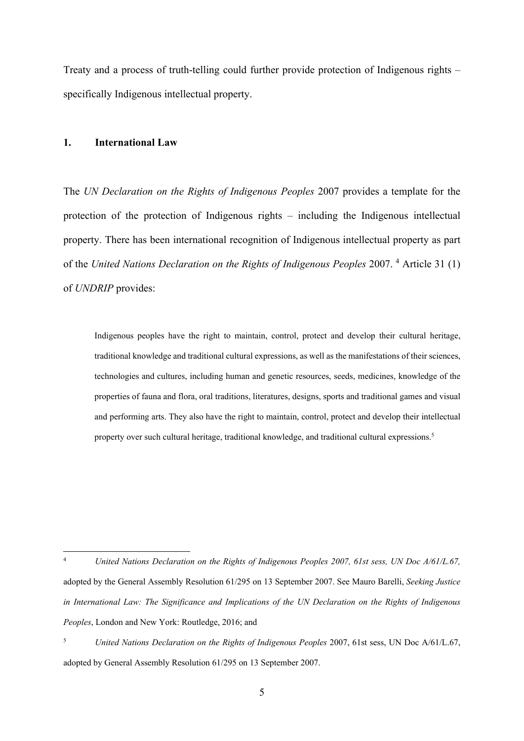Treaty and a process of truth-telling could further provide protection of Indigenous rights – specifically Indigenous intellectual property.

## **1. International Law**

The *UN Declaration on the Rights of Indigenous Peoples* 2007 provides a template for the protection of the protection of Indigenous rights – including the Indigenous intellectual property. There has been international recognition of Indigenous intellectual property as part of the *United Nations Declaration on the Rights of Indigenous Peoples* 2007.<sup>4</sup> Article 31 (1) of *UNDRIP* provides:

Indigenous peoples have the right to maintain, control, protect and develop their cultural heritage, traditional knowledge and traditional cultural expressions, as well as the manifestations of their sciences, technologies and cultures, including human and genetic resources, seeds, medicines, knowledge of the properties of fauna and flora, oral traditions, literatures, designs, sports and traditional games and visual and performing arts. They also have the right to maintain, control, protect and develop their intellectual property over such cultural heritage, traditional knowledge, and traditional cultural expressions.5

 $\overline{4}$  adopted by the General Assembly Resolution 61/295 on 13 September 2007. See Mauro Barelli, *Seeking Justice*  4 *United Nations Declaration on the Rights of Indigenous Peoples 2007, 61st sess, UN Doc A/61/L.67, in International Law: The Significance and Implications of the UN Declaration on the Rights of Indigenous Peoples*, London and New York: Routledge, 2016; and

 $\sqrt{5}$  adopted by General Assembly Resolution 61/295 on 13 September 2007. <sup>5</sup>*United Nations Declaration on the Rights of Indigenous Peoples* 2007, 61st sess, UN Doc A/61/L.67,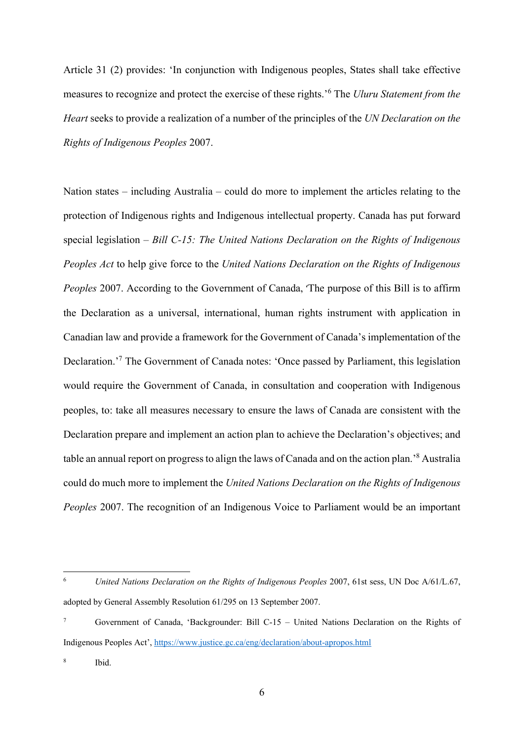Article 31 (2) provides: 'In conjunction with Indigenous peoples, States shall take effective measures to recognize and protect the exercise of these rights.'<sup>6</sup> The *Uluru Statement from the Heart* seeks to provide a realization of a number of the principles of the *UN Declaration on the Rights of Indigenous Peoples* 2007.

Nation states – including Australia – could do more to implement the articles relating to the protection of Indigenous rights and Indigenous intellectual property. Canada has put forward special legislation – *Bill C-15: The United Nations Declaration on the Rights of Indigenous Peoples Act* to help give force to the *United Nations Declaration on the Rights of Indigenous Peoples* 2007. According to the Government of Canada, 'The purpose of this Bill is to affirm the Declaration as a universal, international, human rights instrument with application in Canadian law and provide a framework for the Government of Canada's implementation of the Declaration.<sup>7</sup> The Government of Canada notes: 'Once passed by Parliament, this legislation would require the Government of Canada, in consultation and cooperation with Indigenous peoples, to: take all measures necessary to ensure the laws of Canada are consistent with the Declaration prepare and implement an action plan to achieve the Declaration's objectives; and table an annual report on progress to align the laws of Canada and on the action plan.<sup>8</sup> Australia could do much more to implement the *United Nations Declaration on the Rights of Indigenous Peoples* 2007. The recognition of an Indigenous Voice to Parliament would be an important

 $\sqrt{6}$ 

 adopted by General Assembly Resolution 61/295 on 13 September 2007. <sup>6</sup>*United Nations Declaration on the Rights of Indigenous Peoples* 2007, 61st sess, UN Doc A/61/L.67,

 $\boldsymbol{7}$ Indigenous Peoples Act', https://www.justice.gc.ca/eng/declaration/about-apropos.html 7 Government of Canada, 'Backgrounder: Bill C-15 – United Nations Declaration on the Rights of

 $\,$  8  $\,$ Ibid.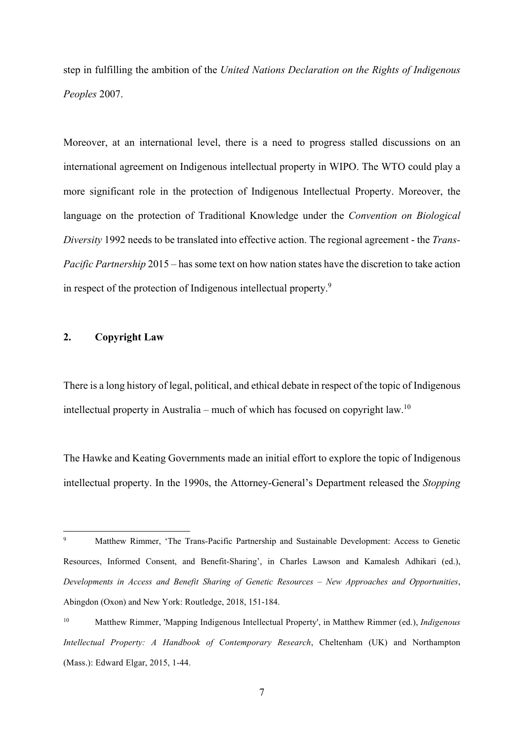step in fulfilling the ambition of the *United Nations Declaration on the Rights of Indigenous Peoples* 2007.

Moreover, at an international level, there is a need to progress stalled discussions on an international agreement on Indigenous intellectual property in WIPO. The WTO could play a more significant role in the protection of Indigenous Intellectual Property. Moreover, the language on the protection of Traditional Knowledge under the *Convention on Biological Diversity* 1992 needs to be translated into effective action. The regional agreement - the *Trans-Pacific Partnership* 2015 – has some text on how nation states have the discretion to take action in respect of the protection of Indigenous intellectual property.9

## **2. Copyright Law**

intellectual property in Australia – much of which has focused on copyright law.<sup>10</sup> There is a long history of legal, political, and ethical debate in respect of the topic of Indigenous

The Hawke and Keating Governments made an initial effort to explore the topic of Indigenous intellectual property. In the 1990s, the Attorney-General's Department released the *Stopping* 

 $\overline{9}$ <sup>9</sup> Matthew Rimmer, 'The Trans-Pacific Partnership and Sustainable Development: Access to Genetic Resources, Informed Consent, and Benefit-Sharing', in Charles Lawson and Kamalesh Adhikari (ed.), *Developments in Access and Benefit Sharing of Genetic Resources – New Approaches and Opportunities*, Abingdon (Oxon) and New York: Routledge, 2018, 151-184.

 $10\,$ 10 Matthew Rimmer, 'Mapping Indigenous Intellectual Property', in Matthew Rimmer (ed.), *Indigenous Intellectual Property: A Handbook of Contemporary Research*, Cheltenham (UK) and Northampton (Mass.): Edward Elgar, 2015, 1-44.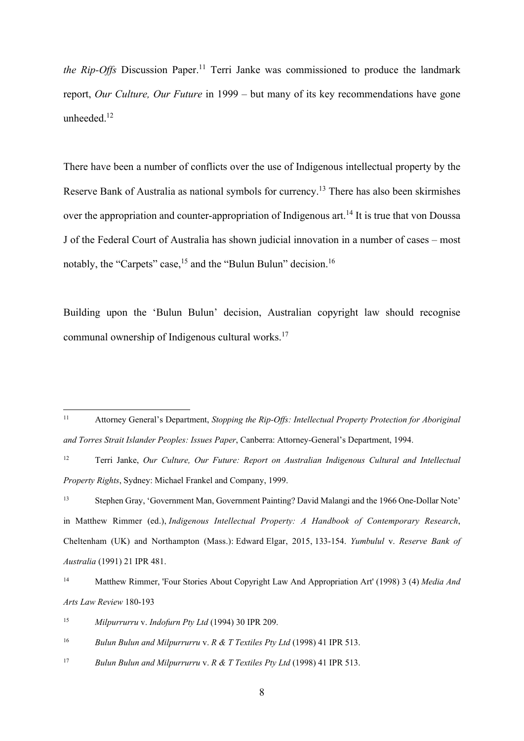*the Rip-Offs* Discussion Paper.<sup>11</sup> Terri Janke was commissioned to produce the landmark report, *Our Culture, Our Future* in 1999 – but many of its key recommendations have gone unheeded.<sup>12</sup>

There have been a number of conflicts over the use of Indigenous intellectual property by the Reserve Bank of Australia as national symbols for currency.<sup>13</sup> There has also been skirmishes over the appropriation and counter-appropriation of Indigenous art.<sup>14</sup> It is true that von Doussa J of the Federal Court of Australia has shown judicial innovation in a number of cases – most notably, the "Carpets" case,  $^{15}$  and the "Bulun Bulun" decision.<sup>16</sup>

Building upon the 'Bulun Bulun' decision, Australian copyright law should recognise communal ownership of Indigenous cultural works.<sup>17</sup>

 $13\,$ 13 Stephen Gray, 'Government Man, Government Painting? David Malangi and the 1966 One-Dollar Note' in Matthew Rimmer (ed.), *Indigenous Intellectual Property: A Handbook of Contemporary Research*, Cheltenham (UK) and Northampton (Mass.): Edward Elgar, 2015, 133-154. *Yumbulul* v. *Reserve Bank of Australia* (1991) 21 IPR 481.

 $17$ <sup>17</sup>*Bulun Bulun and Milpurrurru* v. *R & T Textiles Pty Ltd* (1998) 41 IPR 513.

 $11\,$ 11 Attorney General's Department, *Stopping the Rip-Offs: Intellectual Property Protection for Aboriginal and Torres Strait Islander Peoples: Issues Paper*, Canberra: Attorney-General's Department, 1994.

 $12$ 12 Terri Janke, *Our Culture, Our Future: Report on Australian Indigenous Cultural and Intellectual Property Rights*, Sydney: Michael Frankel and Company, 1999.

 $14$ 14 Matthew Rimmer, 'Four Stories About Copyright Law And Appropriation Art' (1998) 3 (4) *Media And Arts Law Review* 180-193

<sup>15</sup> <sup>15</sup>*Milpurrurru* v. *Indofurn Pty Ltd* (1994) 30 IPR 209.

<sup>16</sup> <sup>16</sup>*Bulun Bulun and Milpurrurru* v. *R & T Textiles Pty Ltd* (1998) 41 IPR 513.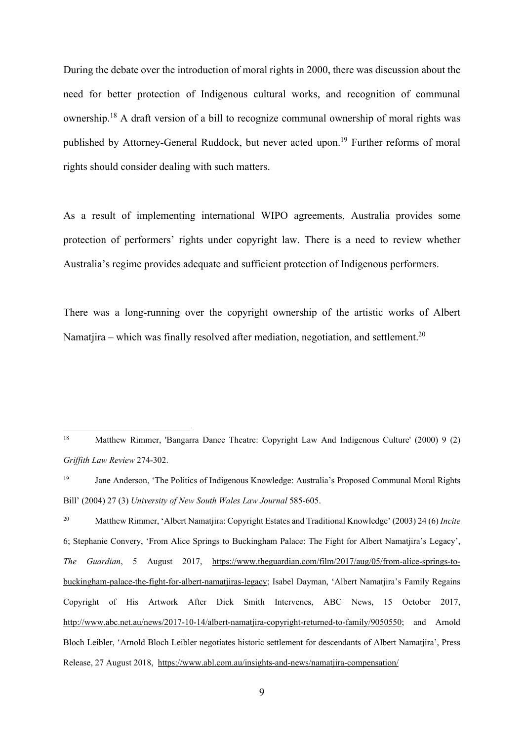During the debate over the introduction of moral rights in 2000, there was discussion about the need for better protection of Indigenous cultural works, and recognition of communal ownership.18 A draft version of a bill to recognize communal ownership of moral rights was published by Attorney-General Ruddock, but never acted upon.<sup>19</sup> Further reforms of moral rights should consider dealing with such matters.

As a result of implementing international WIPO agreements, Australia provides some protection of performers' rights under copyright law. There is a need to review whether Australia's regime provides adequate and sufficient protection of Indigenous performers.

There was a long-running over the copyright ownership of the artistic works of Albert Namatiira – which was finally resolved after mediation, negotiation, and settlement.<sup>20</sup>

<sup>18</sup> 18 Matthew Rimmer, 'Bangarra Dance Theatre: Copyright Law And Indigenous Culture' (2000) 9 (2) *Griffith Law Review* 274-302.

<sup>19</sup> <sup>19</sup> Jane Anderson, 'The Politics of Indigenous Knowledge: Australia's Proposed Communal Moral Rights Bill' (2004) 27 (3) *University of New South Wales Law Journal* 585-605.

 $20\,$  Copyright of His Artwork After Dick Smith Intervenes, ABC News, 15 October 2017, http://www.abc.net.au/news/2017-10-14/albert-namatjira-copyright-returned-to-family/9050550; and Arnold 20 Matthew Rimmer, 'Albert Namatjira: Copyright Estates and Traditional Knowledge' (2003) 24 (6) *Incite* 6; Stephanie Convery, 'From Alice Springs to Buckingham Palace: The Fight for Albert Namatjira's Legacy', *The Guardian*, 5 August 2017, https://www.theguardian.com/film/2017/aug/05/from-alice-springs-tobuckingham-palace-the-fight-for-albert-namatjiras-legacy; Isabel Dayman, 'Albert Namatjira's Family Regains Bloch Leibler, 'Arnold Bloch Leibler negotiates historic settlement for descendants of Albert Namatjira', Press Release, 27 August 2018, https://www.abl.com.au/insights-and-news/namatjira-compensation/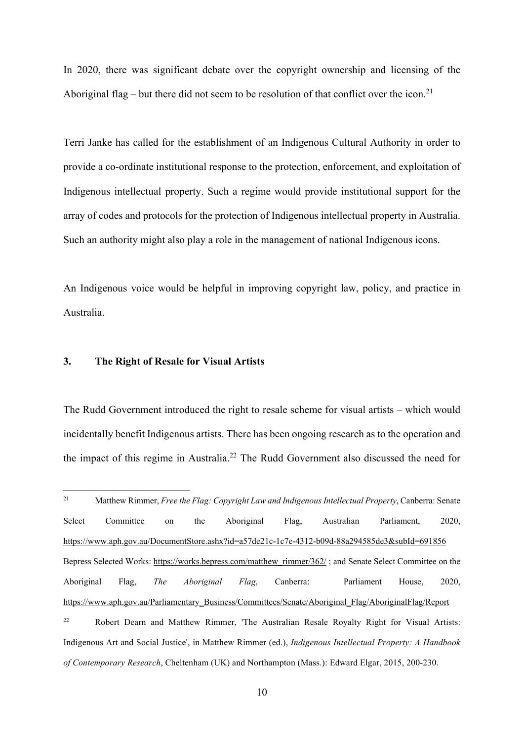In 2020, there was significant debate over the copyright ownership and licensing of the Aboriginal flag – but there did not seem to be resolution of that conflict over the icon.<sup>21</sup>

Terri Janke has called for the establishment of an Indigenous Cultural Authority in order to provide a co-ordinate institutional response to the protection, enforcement, and exploitation of Indigenous intellectual property. Such a regime would provide institutional support for the array of codes and protocols for the protection of Indigenous intellectual property in Australia. Such an authority might also play a role in the management of national Indigenous icons.

An Indigenous voice would be helpful in improving copyright law, policy, and practice in Australia.

## **3. The Right of Resale for Visual Artists**

The Rudd Government introduced the right to resale scheme for visual artists – which would incidentally benefit Indigenous artists. There has been ongoing research as to the operation and the impact of this regime in Australia.<sup>22</sup> The Rudd Government also discussed the need for

<sup>21</sup>  $22\,$ 21 Matthew Rimmer, *Free the Flag: Copyright Law and Indigenous Intellectual Property*, Canberra: Senate Select Committee on the Aboriginal Flag, Australian Parliament, 2020, https://www.aph.gov.au/DocumentStore.ashx?id=a57de21c-1c7e-4312-b09d-88a294585de3&subId=691856 Bepress Selected Works: https://works.bepress.com/matthew\_rimmer/362/ ; and Senate Select Committee on the Aboriginal Flag, *The Aboriginal Flag*, Canberra: Parliament House, 2020, https://www.aph.gov.au/Parliamentary\_Business/Committees/Senate/Aboriginal\_Flag/AboriginalFlag/Report 22 Robert Dearn and Matthew Rimmer, 'The Australian Resale Royalty Right for Visual Artists:

Indigenous Art and Social Justice', in Matthew Rimmer (ed.), *Indigenous Intellectual Property: A Handbook of Contemporary Research*, Cheltenham (UK) and Northampton (Mass.): Edward Elgar, 2015, 200-230.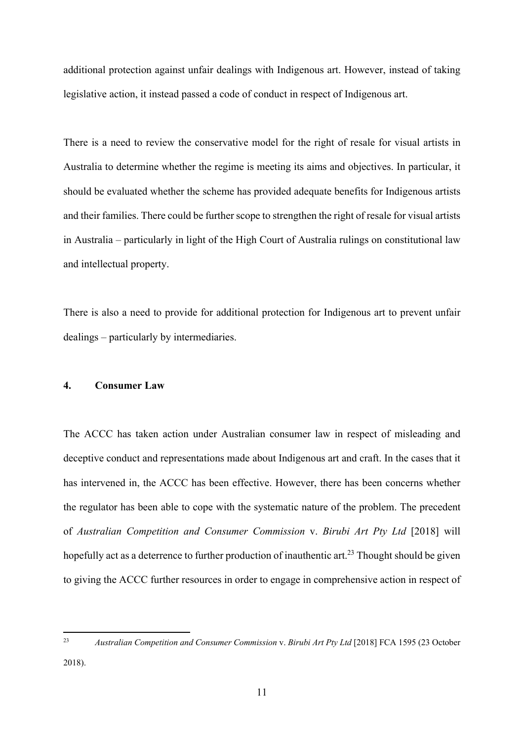additional protection against unfair dealings with Indigenous art. However, instead of taking legislative action, it instead passed a code of conduct in respect of Indigenous art.

There is a need to review the conservative model for the right of resale for visual artists in Australia to determine whether the regime is meeting its aims and objectives. In particular, it should be evaluated whether the scheme has provided adequate benefits for Indigenous artists and their families. There could be further scope to strengthen the right of resale for visual artists in Australia – particularly in light of the High Court of Australia rulings on constitutional law and intellectual property.

There is also a need to provide for additional protection for Indigenous art to prevent unfair dealings – particularly by intermediaries.

#### **4. Consumer Law**

The ACCC has taken action under Australian consumer law in respect of misleading and deceptive conduct and representations made about Indigenous art and craft. In the cases that it has intervened in, the ACCC has been effective. However, there has been concerns whether the regulator has been able to cope with the systematic nature of the problem. The precedent of *Australian Competition and Consumer Commission* v. *Birubi Art Pty Ltd* [2018] will hopefully act as a deterrence to further production of inauthentic art.<sup>23</sup> Thought should be given to giving the ACCC further resources in order to engage in comprehensive action in respect of

 23 *Australian Competition and Consumer Commission* v. *Birubi Art Pty Ltd* [2018] FCA 1595 (23 October 2018).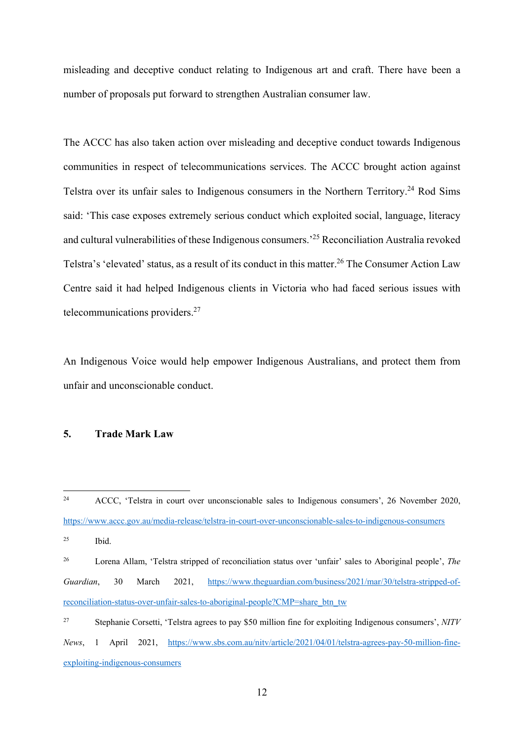misleading and deceptive conduct relating to Indigenous art and craft. There have been a number of proposals put forward to strengthen Australian consumer law.

The ACCC has also taken action over misleading and deceptive conduct towards Indigenous communities in respect of telecommunications services. The ACCC brought action against Telstra over its unfair sales to Indigenous consumers in the Northern Territory.<sup>24</sup> Rod Sims said: 'This case exposes extremely serious conduct which exploited social, language, literacy and cultural vulnerabilities of these Indigenous consumers.'25 Reconciliation Australia revoked Telstra's 'elevated' status, as a result of its conduct in this matter.<sup>26</sup> The Consumer Action Law Centre said it had helped Indigenous clients in Victoria who had faced serious issues with telecommunications providers.27

An Indigenous Voice would help empower Indigenous Australians, and protect them from unfair and unconscionable conduct.

## **5. Trade Mark Law**

<sup>24</sup> https://www.accc.gov.au/media-release/telstra-in-court-over-unconscionable-sales-to-indigenous-consumers<br>25 Ibid.  $25$ 24 ACCC, 'Telstra in court over unconscionable sales to Indigenous consumers', 26 November 2020,

reconciliation-status-over-unfair-sales-to-aboriginal-people?CMP=share\_btn\_tw 26 Lorena Allam, 'Telstra stripped of reconciliation status over 'unfair' sales to Aboriginal people', *The Guardian*, 30 March 2021, https://www.theguardian.com/business/2021/mar/30/telstra-stripped-of-

 $27\,$ exploiting-indigenous-consumers 12 27 Stephanie Corsetti, 'Telstra agrees to pay \$50 million fine for exploiting Indigenous consumers', *NITV News*, 1 April 2021, https://www.sbs.com.au/nitv/article/2021/04/01/telstra-agrees-pay-50-million-fine-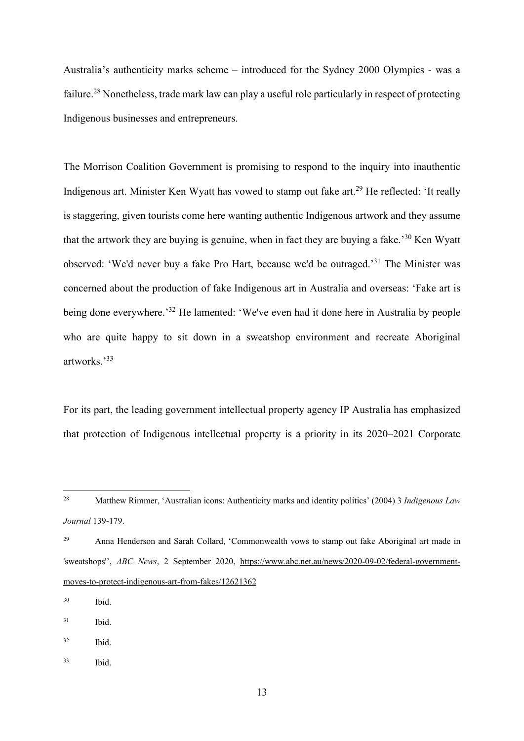Australia's authenticity marks scheme – introduced for the Sydney 2000 Olympics - was a failure.28 Nonetheless, trade mark law can play a useful role particularly in respect of protecting Indigenous businesses and entrepreneurs.

The Morrison Coalition Government is promising to respond to the inquiry into inauthentic Indigenous art. Minister Ken Wyatt has vowed to stamp out fake art.<sup>29</sup> He reflected: 'It really is staggering, given tourists come here wanting authentic Indigenous artwork and they assume that the artwork they are buying is genuine, when in fact they are buying a fake.<sup>30</sup> Ken Wyatt observed: 'We'd never buy a fake Pro Hart, because we'd be outraged.'31 The Minister was concerned about the production of fake Indigenous art in Australia and overseas: 'Fake art is being done everywhere.<sup>32</sup> He lamented: 'We've even had it done here in Australia by people who are quite happy to sit down in a sweatshop environment and recreate Aboriginal artworks.'<sup>33</sup>

For its part, the leading government intellectual property agency IP Australia has emphasized that protection of Indigenous intellectual property is a priority in its 2020–2021 Corporate

 $30$ Ibid.

- $31\,$ Ibid.
- $32$ Ibid.
- 33 Ibid.

<sup>28</sup> 28 Matthew Rimmer, 'Australian icons: Authenticity marks and identity politics' (2004) 3 *Indigenous Law Journal* 139-179.

<sup>29</sup> 29 Anna Henderson and Sarah Collard, 'Commonwealth vows to stamp out fake Aboriginal art made in 'sweatshops'', *ABC News*, 2 September 2020, https://www.abc.net.au/news/2020-09-02/federal-governmentmoves-to-protect-indigenous-art-from-fakes/12621362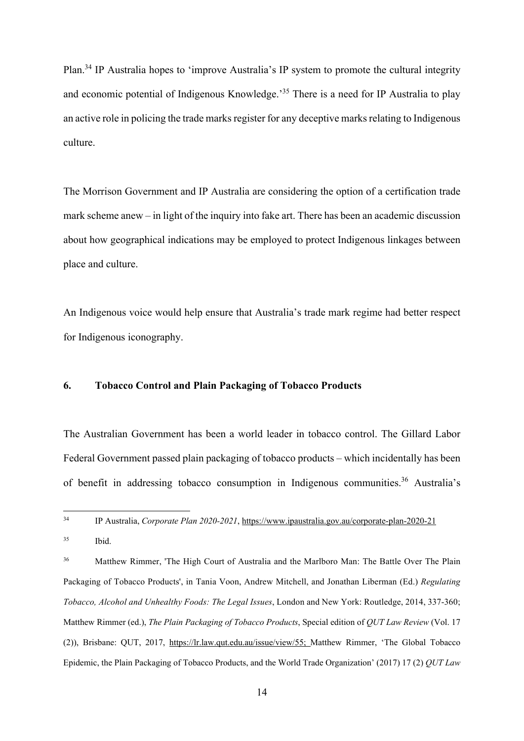Plan.34 IP Australia hopes to 'improve Australia's IP system to promote the cultural integrity and economic potential of Indigenous Knowledge.<sup>35</sup> There is a need for IP Australia to play an active role in policing the trade marks register for any deceptive marks relating to Indigenous culture.

The Morrison Government and IP Australia are considering the option of a certification trade mark scheme anew – in light of the inquiry into fake art. There has been an academic discussion about how geographical indications may be employed to protect Indigenous linkages between place and culture.

An Indigenous voice would help ensure that Australia's trade mark regime had better respect for Indigenous iconography.

### **6. Tobacco Control and Plain Packaging of Tobacco Products**

The Australian Government has been a world leader in tobacco control. The Gillard Labor Federal Government passed plain packaging of tobacco products – which incidentally has been of benefit in addressing tobacco consumption in Indigenous communities.<sup>36</sup> Australia's

 $34$ 34 IP Australia, *Corporate Plan 2020-2021*, https://www.ipaustralia.gov.au/corporate-plan-2020-21

<sup>35</sup> Ibid.

<sup>36</sup>  Matthew Rimmer (ed.), *The Plain Packaging of Tobacco Products*, Special edition of *QUT Law Review* (Vol. 17 36 Matthew Rimmer, 'The High Court of Australia and the Marlboro Man: The Battle Over The Plain Packaging of Tobacco Products', in Tania Voon, Andrew Mitchell, and Jonathan Liberman (Ed.) *Regulating Tobacco, Alcohol and Unhealthy Foods: The Legal Issues*, London and New York: Routledge, 2014, 337-360; (2)), Brisbane: QUT, 2017, https://lr.law.qut.edu.au/issue/view/55; Matthew Rimmer, 'The Global Tobacco Epidemic, the Plain Packaging of Tobacco Products, and the World Trade Organization' (2017) 17 (2) *QUT Law*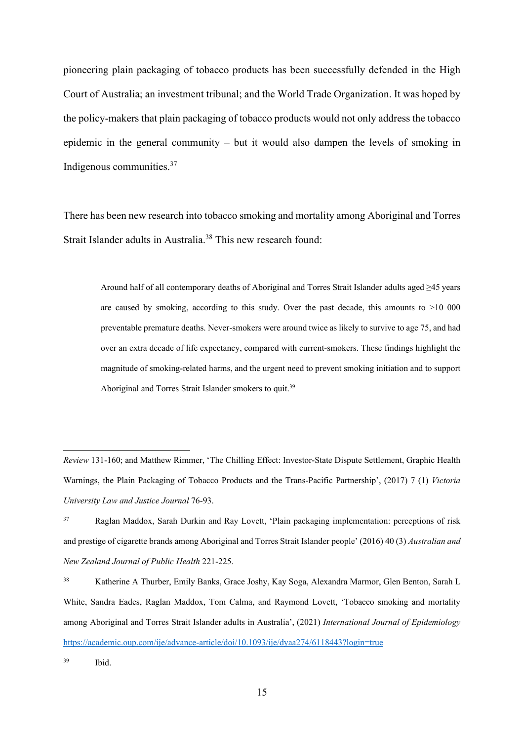pioneering plain packaging of tobacco products has been successfully defended in the High Court of Australia; an investment tribunal; and the World Trade Organization. It was hoped by the policy-makers that plain packaging of tobacco products would not only address the tobacco epidemic in the general community – but it would also dampen the levels of smoking in Indigenous communities.<sup>37</sup>

There has been new research into tobacco smoking and mortality among Aboriginal and Torres Strait Islander adults in Australia.<sup>38</sup> This new research found:

 Around half of all contemporary deaths of Aboriginal and Torres Strait Islander adults aged ≥45 years are caused by smoking, according to this study. Over the past decade, this amounts to  $>10,000$ preventable premature deaths. Never-smokers were around twice as likely to survive to age 75, and had over an extra decade of life expectancy, compared with current-smokers. These findings highlight the magnitude of smoking-related harms, and the urgent need to prevent smoking initiation and to support Aboriginal and Torres Strait Islander smokers to quit.<sup>39</sup>

*Review* 131-160; and Matthew Rimmer, 'The Chilling Effect: Investor-State Dispute Settlement, Graphic Health Warnings, the Plain Packaging of Tobacco Products and the Trans-Pacific Partnership', (2017) 7 (1) *Victoria University Law and Justice Journal* 76-93.

<sup>37</sup>  and prestige of cigarette brands among Aboriginal and Torres Strait Islander people' (2016) 40 (3) *Australian and*  37 Raglan Maddox, Sarah Durkin and Ray Lovett, 'Plain packaging implementation: perceptions of risk *New Zealand Journal of Public Health* 221-225.

https://academic.oup.com/ije/advance-article/doi/10.1093/ije/dyaa274/6118443?login=true<br>39 Ibid. 38 Katherine A Thurber, Emily Banks, Grace Joshy, Kay Soga, Alexandra Marmor, Glen Benton, Sarah L White, Sandra Eades, Raglan Maddox, Tom Calma, and Raymond Lovett, 'Tobacco smoking and mortality among Aboriginal and Torres Strait Islander adults in Australia', (2021) *International Journal of Epidemiology*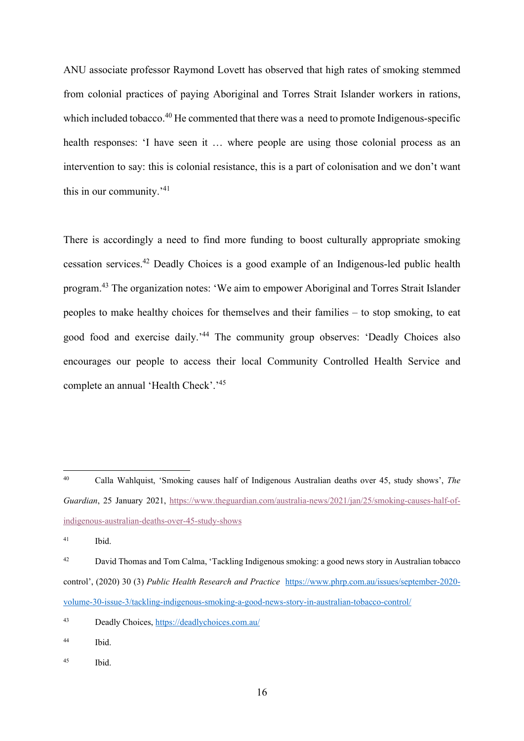ANU associate professor Raymond Lovett has observed that high rates of smoking stemmed from colonial practices of paying Aboriginal and Torres Strait Islander workers in rations, which included tobacco.<sup>40</sup> He commented that there was a need to promote Indigenous-specific health responses: 'I have seen it ... where people are using those colonial process as an intervention to say: this is colonial resistance, this is a part of colonisation and we don't want this in our community.<sup>'41</sup>

There is accordingly a need to find more funding to boost culturally appropriate smoking cessation services.42 Deadly Choices is a good example of an Indigenous-led public health program.43 The organization notes: 'We aim to empower Aboriginal and Torres Strait Islander peoples to make healthy choices for themselves and their families – to stop smoking, to eat good food and exercise daily.'44 The community group observes: 'Deadly Choices also encourages our people to access their local Community Controlled Health Service and complete an annual 'Health Check'.'45

 $\overline{44}$ 

45 Ibid.

 $40\,$ indigenous-australian-deaths-over-45-study-shows<br><sup>41</sup> Ibid. 40 Calla Wahlquist, 'Smoking causes half of Indigenous Australian deaths over 45, study shows', *The Guardian*, 25 January 2021, https://www.theguardian.com/australia-news/2021/jan/25/smoking-causes-half-of-

 control', (2020) 30 (3) *Public Health Research and Practice* https://www.phrp.com.au/issues/september-2020- volume-30-issue-3/tackling-indigenous-smoking-a-good-news-story-in-australian-tobacco-control/  $42$  David Thomas and Tom Calma, 'Tackling Indigenous smoking: a good news story in Australian tobacco

<sup>43</sup> Deadly Choices, <u>https://deadlychoices.com.au/</u><br>44 Ibid.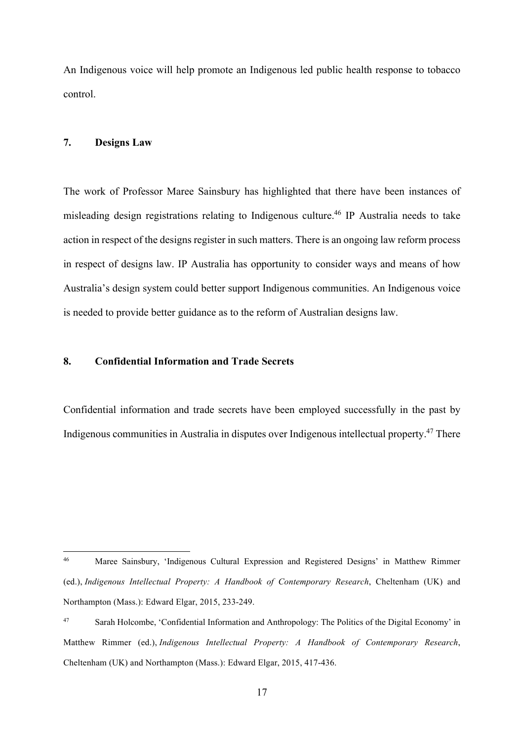An Indigenous voice will help promote an Indigenous led public health response to tobacco control.

## **7. Designs Law**

The work of Professor Maree Sainsbury has highlighted that there have been instances of misleading design registrations relating to Indigenous culture.46 IP Australia needs to take action in respect of the designs register in such matters. There is an ongoing law reform process in respect of designs law. IP Australia has opportunity to consider ways and means of how Australia's design system could better support Indigenous communities. An Indigenous voice is needed to provide better guidance as to the reform of Australian designs law.

## **8. Confidential Information and Trade Secrets**

Confidential information and trade secrets have been employed successfully in the past by Indigenous communities in Australia in disputes over Indigenous intellectual property.47 There

<sup>46</sup>  (ed.), *Indigenous Intellectual Property: A Handbook of Contemporary Research*, Cheltenham (UK) and <sup>46</sup> Maree Sainsbury, 'Indigenous Cultural Expression and Registered Designs' in Matthew Rimmer Northampton (Mass.): Edward Elgar, 2015, 233-249.

 $47\,$ <sup>47</sup> Sarah Holcombe, 'Confidential Information and Anthropology: The Politics of the Digital Economy' in Matthew Rimmer (ed.), *Indigenous Intellectual Property: A Handbook of Contemporary Research*, Cheltenham (UK) and Northampton (Mass.): Edward Elgar, 2015, 417-436.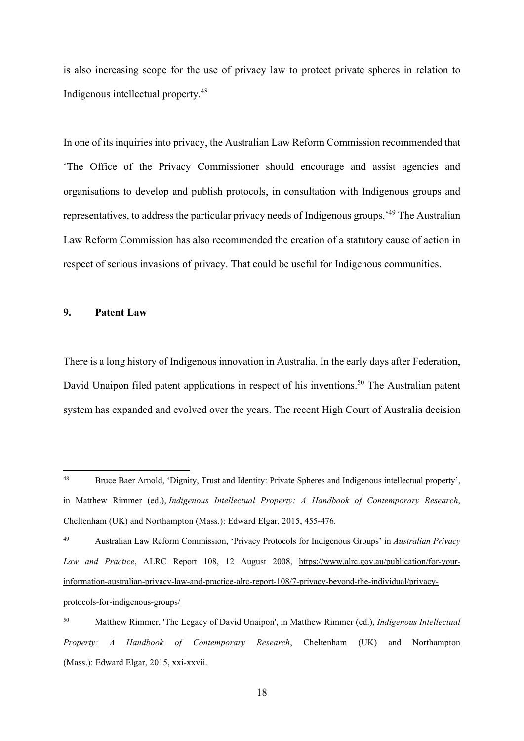is also increasing scope for the use of privacy law to protect private spheres in relation to Indigenous intellectual property.48

In one of its inquiries into privacy, the Australian Law Reform Commission recommended that 'The Office of the Privacy Commissioner should encourage and assist agencies and organisations to develop and publish protocols, in consultation with Indigenous groups and representatives, to address the particular privacy needs of Indigenous groups.'49 The Australian Law Reform Commission has also recommended the creation of a statutory cause of action in respect of serious invasions of privacy. That could be useful for Indigenous communities.

## **9. Patent Law**

There is a long history of Indigenous innovation in Australia. In the early days after Federation, David Unaipon filed patent applications in respect of his inventions.<sup>50</sup> The Australian patent system has expanded and evolved over the years. The recent High Court of Australia decision

<sup>48</sup> 48 Bruce Baer Arnold, 'Dignity, Trust and Identity: Private Spheres and Indigenous intellectual property', in Matthew Rimmer (ed.), *Indigenous Intellectual Property: A Handbook of Contemporary Research*, Cheltenham (UK) and Northampton (Mass.): Edward Elgar, 2015, 455-476.

<sup>49</sup>  protocols-for-indigenous-groups/ 49 Australian Law Reform Commission, 'Privacy Protocols for Indigenous Groups' in *Australian Privacy Law and Practice*, ALRC Report 108, 12 August 2008, https://www.alrc.gov.au/publication/for-yourinformation-australian-privacy-law-and-practice-alrc-report-108/7-privacy-beyond-the-individual/privacy-

<sup>50</sup> 50 Matthew Rimmer, 'The Legacy of David Unaipon', in Matthew Rimmer (ed.), *Indigenous Intellectual Property: A Handbook of Contemporary Research*, Cheltenham (UK) and Northampton (Mass.): Edward Elgar, 2015, xxi-xxvii.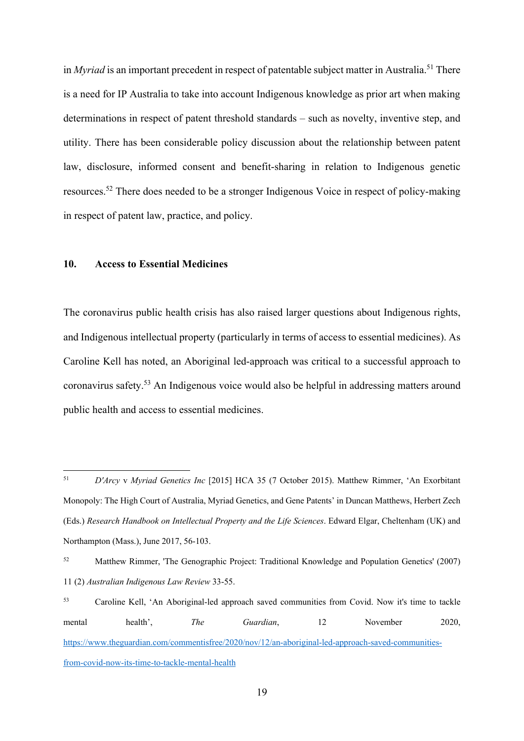in *Myriad* is an important precedent in respect of patentable subject matter in Australia.<sup>51</sup> There is a need for IP Australia to take into account Indigenous knowledge as prior art when making determinations in respect of patent threshold standards – such as novelty, inventive step, and utility. There has been considerable policy discussion about the relationship between patent law, disclosure, informed consent and benefit-sharing in relation to Indigenous genetic resources.52 There does needed to be a stronger Indigenous Voice in respect of policy-making in respect of patent law, practice, and policy.

### **10. Access to Essential Medicines**

The coronavirus public health crisis has also raised larger questions about Indigenous rights, and Indigenous intellectual property (particularly in terms of access to essential medicines). As Caroline Kell has noted, an Aboriginal led-approach was critical to a successful approach to coronavirus safety.53 An Indigenous voice would also be helpful in addressing matters around public health and access to essential medicines.

<sup>51</sup> 51 *D'Arcy* v *Myriad Genetics Inc* [2015] HCA 35 (7 October 2015). Matthew Rimmer, 'An Exorbitant Monopoly: The High Court of Australia, Myriad Genetics, and Gene Patents' in Duncan Matthews, Herbert Zech (Eds.) *Research Handbook on Intellectual Property and the Life Sciences*. Edward Elgar, Cheltenham (UK) and Northampton (Mass.), June 2017, 56-103.

<sup>&</sup>lt;sup>52</sup> Matthew Rimmer, 'The Genographic Project: Traditional Knowledge and Population Genetics' (2007) 11 (2) *Australian Indigenous Law Review* 33-55.

<sup>53</sup>  from-covid-now-its-time-to-tackle-mental-health 53 Caroline Kell, 'An Aboriginal-led approach saved communities from Covid. Now it's time to tackle mental health', *The Guardian*, 12 November 2020, https://www.theguardian.com/commentisfree/2020/nov/12/an-aboriginal-led-approach-saved-communities-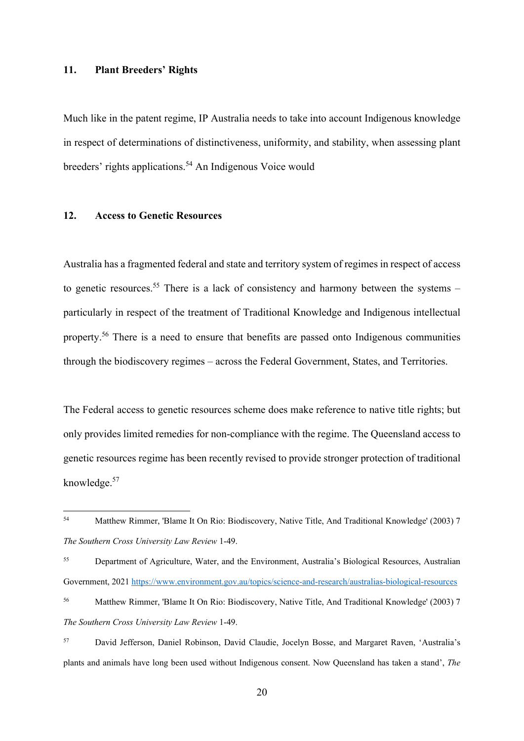### **11. Plant Breeders' Rights**

Much like in the patent regime, IP Australia needs to take into account Indigenous knowledge in respect of determinations of distinctiveness, uniformity, and stability, when assessing plant breeders' rights applications.<sup>54</sup> An Indigenous Voice would

### **12. Access to Genetic Resources**

Australia has a fragmented federal and state and territory system of regimes in respect of access to genetic resources.<sup>55</sup> There is a lack of consistency and harmony between the systems – particularly in respect of the treatment of Traditional Knowledge and Indigenous intellectual property.56 There is a need to ensure that benefits are passed onto Indigenous communities through the biodiscovery regimes – across the Federal Government, States, and Territories.

The Federal access to genetic resources scheme does make reference to native title rights; but only provides limited remedies for non-compliance with the regime. The Queensland access to genetic resources regime has been recently revised to provide stronger protection of traditional knowledge.57

<sup>54</sup> 54 Matthew Rimmer, 'Blame It On Rio: Biodiscovery, Native Title, And Traditional Knowledge' (2003) 7 *The Southern Cross University Law Review* 1-49.

<sup>55</sup> Government, 2021 https://www.environment.gov.au/topics/science-and-research/australias-biological-resources 55 Department of Agriculture, Water, and the Environment, Australia's Biological Resources, Australian

<sup>56</sup> Matthew Rimmer, 'Blame It On Rio: Biodiscovery, Native Title, And Traditional Knowledge' (2003) 7 *The Southern Cross University Law Review* 1-49.

<sup>57</sup> 57 David Jefferson, Daniel Robinson, David Claudie, Jocelyn Bosse, and Margaret Raven, 'Australia's plants and animals have long been used without Indigenous consent. Now Queensland has taken a stand', *The*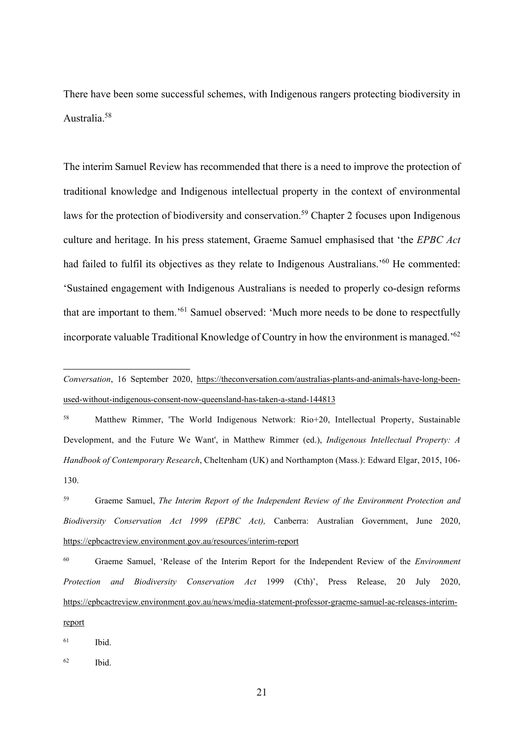There have been some successful schemes, with Indigenous rangers protecting biodiversity in Australia.58

The interim Samuel Review has recommended that there is a need to improve the protection of traditional knowledge and Indigenous intellectual property in the context of environmental laws for the protection of biodiversity and conservation.<sup>59</sup> Chapter 2 focuses upon Indigenous culture and heritage. In his press statement, Graeme Samuel emphasised that 'the *EPBC Act*  had failed to fulfil its objectives as they relate to Indigenous Australians.<sup>'60</sup> He commented: 'Sustained engagement with Indigenous Australians is needed to properly co-design reforms that are important to them.'61 Samuel observed: 'Much more needs to be done to respectfully incorporate valuable Traditional Knowledge of Country in how the environment is managed.<sup>'62</sup>

58 58 Matthew Rimmer, 'The World Indigenous Network: Rio+20, Intellectual Property, Sustainable Development, and the Future We Want', in Matthew Rimmer (ed.), *Indigenous Intellectual Property: A Handbook of Contemporary Research*, Cheltenham (UK) and Northampton (Mass.): Edward Elgar, 2015, 106- 130.

61 Ibid.

62 Ibid.

*Conversation*, 16 September 2020, https://theconversation.com/australias-plants-and-animals-have-long-beenused-without-indigenous-consent-now-queensland-has-taken-a-stand-144813

<sup>59</sup> 59 Graeme Samuel, *The Interim Report of the Independent Review of the Environment Protection and Biodiversity Conservation Act 1999 (EPBC Act),* Canberra: Australian Government, June 2020, https://epbcactreview.environment.gov.au/resources/interim-report

<sup>60</sup>  *Protection and Biodiversity Conservation Act* 1999 (Cth)', Press Release, 20 July 2020, 60 Graeme Samuel, 'Release of the Interim Report for the Independent Review of the *Environment*  https://epbcactreview.environment.gov.au/news/media-statement-professor-graeme-samuel-ac-releases-interimreport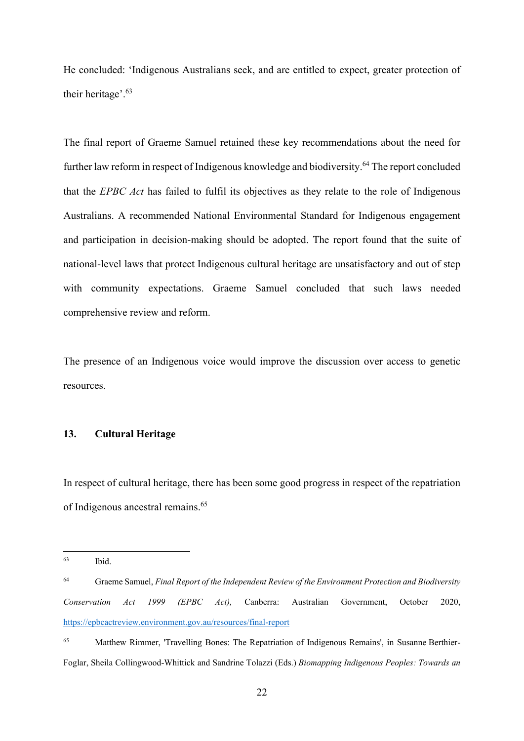He concluded: 'Indigenous Australians seek, and are entitled to expect, greater protection of their heritage'.63

The final report of Graeme Samuel retained these key recommendations about the need for further law reform in respect of Indigenous knowledge and biodiversity.<sup>64</sup> The report concluded that the *EPBC Act* has failed to fulfil its objectives as they relate to the role of Indigenous Australians. A recommended National Environmental Standard for Indigenous engagement and participation in decision-making should be adopted. The report found that the suite of national-level laws that protect Indigenous cultural heritage are unsatisfactory and out of step with community expectations. Graeme Samuel concluded that such laws needed comprehensive review and reform.

The presence of an Indigenous voice would improve the discussion over access to genetic resources.

## **13. Cultural Heritage**

In respect of cultural heritage, there has been some good progress in respect of the repatriation of Indigenous ancestral remains.<sup>65</sup>

<sup>63</sup> Ibid.

https://epbcactreview.environment.gov.au/resources/final-report 64 Graeme Samuel, *Final Report of the Independent Review of the Environment Protection and Biodiversity Conservation Act 1999 (EPBC Act),* Canberra: Australian Government, October 2020,

<sup>65</sup> Matthew Rimmer, 'Travelling Bones: The Repatriation of Indigenous Remains', in Susanne Berthier-Foglar, Sheila Collingwood-Whittick and Sandrine Tolazzi (Eds.) *Biomapping Indigenous Peoples: Towards an*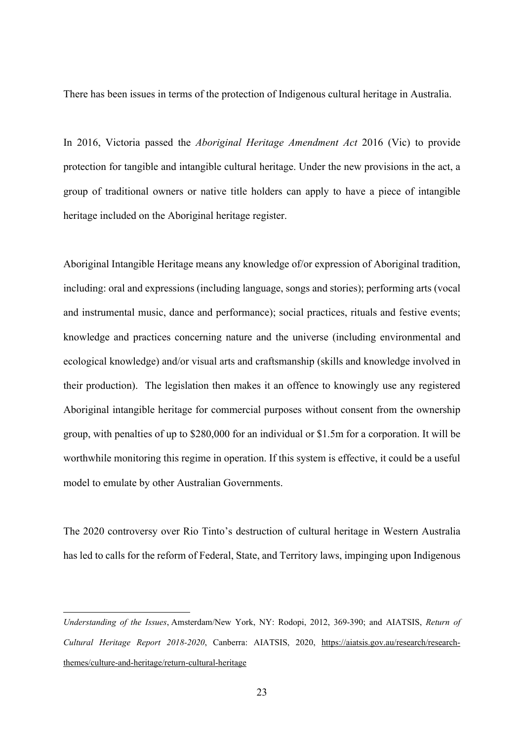There has been issues in terms of the protection of Indigenous cultural heritage in Australia.

In 2016, Victoria passed the *Aboriginal Heritage Amendment Act* 2016 (Vic) to provide protection for tangible and intangible cultural heritage. Under the new provisions in the act, a group of traditional owners or native title holders can apply to have a piece of intangible heritage included on the Aboriginal heritage register.

Aboriginal Intangible Heritage means any knowledge of/or expression of Aboriginal tradition, including: oral and expressions (including language, songs and stories); performing arts (vocal and instrumental music, dance and performance); social practices, rituals and festive events; knowledge and practices concerning nature and the universe (including environmental and ecological knowledge) and/or visual arts and craftsmanship (skills and knowledge involved in their production). The legislation then makes it an offence to knowingly use any registered Aboriginal intangible heritage for commercial purposes without consent from the ownership group, with penalties of up to \$280,000 for an individual or \$1.5m for a corporation. It will be worthwhile monitoring this regime in operation. If this system is effective, it could be a useful model to emulate by other Australian Governments.

The 2020 controversy over Rio Tinto's destruction of cultural heritage in Western Australia has led to calls for the reform of Federal, State, and Territory laws, impinging upon Indigenous

themes/culture-and-heritage/return-cultural-heritage<br>23 *Understanding of the Issues*, Amsterdam/New York, NY: Rodopi, 2012, 369-390; and AIATSIS, *Return of Cultural Heritage Report 2018-2020*, Canberra: AIATSIS, 2020, https://aiatsis.gov.au/research/research-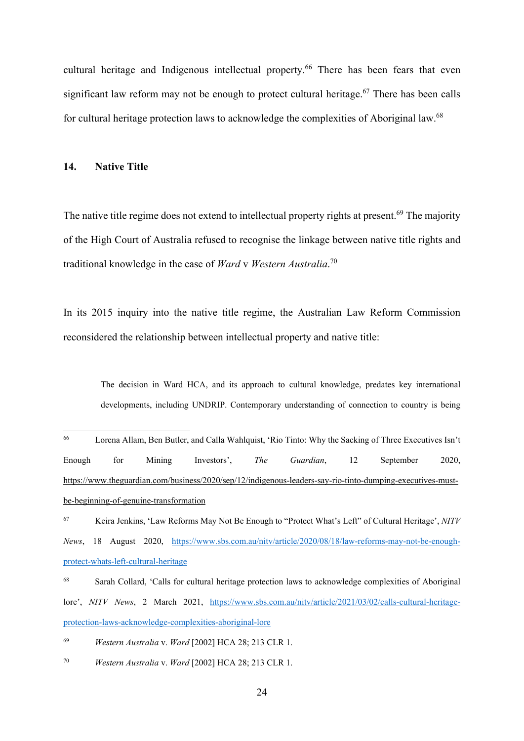cultural heritage and Indigenous intellectual property.<sup>66</sup> There has been fears that even significant law reform may not be enough to protect cultural heritage.<sup>67</sup> There has been calls for cultural heritage protection laws to acknowledge the complexities of Aboriginal law.<sup>68</sup>

#### **14. Native Title**

 traditional knowledge in the case of *Ward* v *Western Australia*. 70 The native title regime does not extend to intellectual property rights at present.<sup>69</sup> The majority of the High Court of Australia refused to recognise the linkage between native title rights and

In its 2015 inquiry into the native title regime, the Australian Law Reform Commission reconsidered the relationship between intellectual property and native title:

 developments, including UNDRIP. Contemporary understanding of connection to country is being The decision in Ward HCA, and its approach to cultural knowledge, predates key international

<sup>66</sup> be-beginning-of-genuine-transformation Lorena Allam, Ben Butler, and Calla Wahlquist, 'Rio Tinto: Why the Sacking of Three Executives Isn't Enough for Mining Investors', *The Guardian*, 12 September 2020, https://www.theguardian.com/business/2020/sep/12/indigenous-leaders-say-rio-tinto-dumping-executives-must-

<sup>67</sup> protect-whats-left-cultural-heritage Keira Jenkins, 'Law Reforms May Not Be Enough to "Protect What's Left" of Cultural Heritage', *NITV News*, 18 August 2020, https://www.sbs.com.au/nitv/article/2020/08/18/law-reforms-may-not-be-enough-

<sup>68</sup> protection-laws-acknowledge-complexities-aboriginal-lore Sarah Collard, 'Calls for cultural heritage protection laws to acknowledge complexities of Aboriginal lore', *NITV News*, 2 March 2021, https://www.sbs.com.au/nitv/article/2021/03/02/calls-cultural-heritage-

<sup>69</sup> protection-laws-acknowledge-complexities-aboriginal-lore 69 *Western Australia* v. *Ward* [2002] HCA 28; 213 CLR 1.

<sup>70</sup> <sup>70</sup>*Western Australia* v. *Ward* [2002] HCA 28; 213 CLR 1.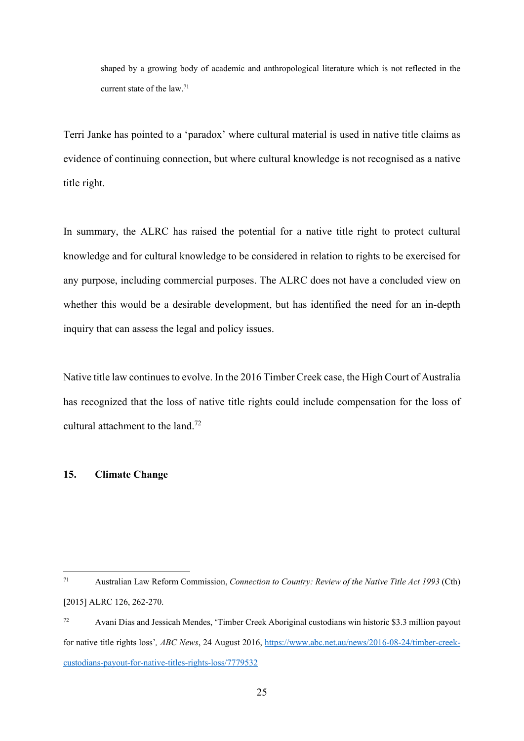shaped by a growing body of academic and anthropological literature which is not reflected in the current state of the law.71

Terri Janke has pointed to a 'paradox' where cultural material is used in native title claims as evidence of continuing connection, but where cultural knowledge is not recognised as a native title right.

In summary, the ALRC has raised the potential for a native title right to protect cultural knowledge and for cultural knowledge to be considered in relation to rights to be exercised for any purpose, including commercial purposes. The ALRC does not have a concluded view on whether this would be a desirable development, but has identified the need for an in-depth inquiry that can assess the legal and policy issues.

Native title law continues to evolve. In the 2016 Timber Creek case, the High Court of Australia has recognized that the loss of native title rights could include compensation for the loss of cultural attachment to the land.72

### **15. Climate Change**

 $71$ 71 Australian Law Reform Commission, *Connection to Country: Review of the Native Title Act 1993* (Cth) [2015] ALRC 126, 262-270.

 $72\,$  custodians-payout-for-native-titles-rights-loss/7779532 25 72 Avani Dias and Jessicah Mendes, 'Timber Creek Aboriginal custodians win historic \$3.3 million payout for native title rights loss'*, ABC News*, 24 August 2016, https://www.abc.net.au/news/2016-08-24/timber-creek-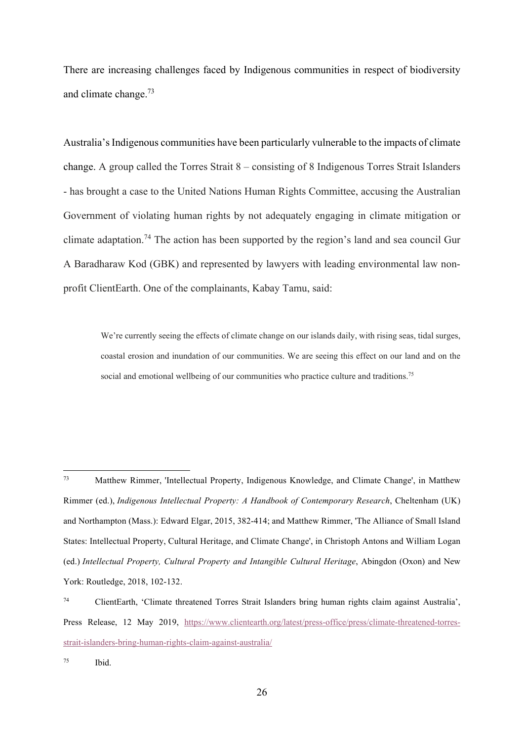There are increasing challenges faced by Indigenous communities in respect of biodiversity and climate change.73

Australia's Indigenous communities have been particularly vulnerable to the impacts of climate change. A group called the Torres Strait 8 – consisting of 8 Indigenous Torres Strait Islanders - has brought a case to the United Nations Human Rights Committee, accusing the Australian Government of violating human rights by not adequately engaging in climate mitigation or climate adaptation.74 The action has been supported by the region's land and sea council Gur A Baradharaw Kod (GBK) and represented by lawyers with leading environmental law nonprofit ClientEarth. One of the complainants, Kabay Tamu, said:

 coastal erosion and inundation of our communities. We are seeing this effect on our land and on the We're currently seeing the effects of climate change on our islands daily, with rising seas, tidal surges, social and emotional wellbeing of our communities who practice culture and traditions.<sup>75</sup>

<sup>73</sup>  States: Intellectual Property, Cultural Heritage, and Climate Change', in Christoph Antons and William Logan 73 Matthew Rimmer, 'Intellectual Property, Indigenous Knowledge, and Climate Change', in Matthew Rimmer (ed.), *Indigenous Intellectual Property: A Handbook of Contemporary Research*, Cheltenham (UK) and Northampton (Mass.): Edward Elgar, 2015, 382-414; and Matthew Rimmer, 'The Alliance of Small Island (ed.) *Intellectual Property, Cultural Property and Intangible Cultural Heritage*, Abingdon (Oxon) and New York: Routledge, 2018, 102-132.

<sup>74</sup> ClientEarth, 'Climate threatened Torres Strait Islanders bring human rights claim against Australia', Press Release, 12 May 2019, https://www.clientearth.org/latest/press-office/press/climate-threatened-torresstrait-islanders-bring-human-rights-claim-against-australia/

<sup>75</sup> Ibid.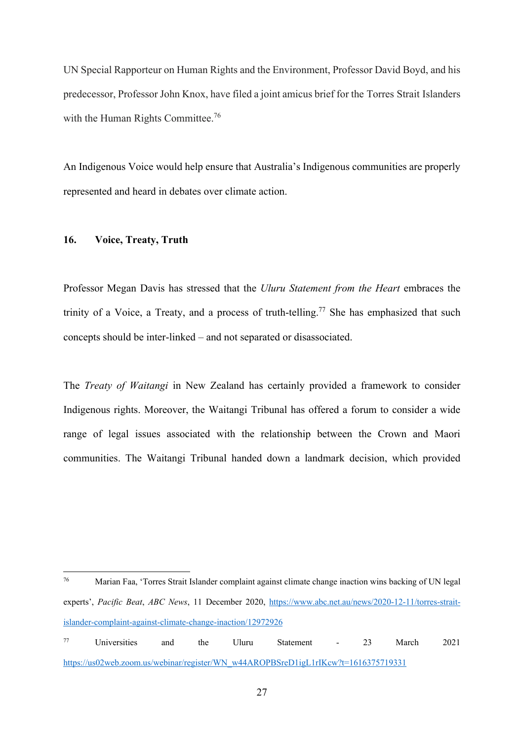UN Special Rapporteur on Human Rights and the Environment, Professor David Boyd, and his predecessor, Professor John Knox, have filed a joint amicus brief for the Torres Strait Islanders with the Human Rights Committee.<sup>76</sup>

An Indigenous Voice would help ensure that Australia's Indigenous communities are properly represented and heard in debates over climate action.

### **16. Voice, Treaty, Truth**

Professor Megan Davis has stressed that the *Uluru Statement from the Heart* embraces the trinity of a Voice, a Treaty, and a process of truth-telling.<sup>77</sup> She has emphasized that such concepts should be inter-linked – and not separated or disassociated.

The *Treaty of Waitangi* in New Zealand has certainly provided a framework to consider Indigenous rights. Moreover, the Waitangi Tribunal has offered a forum to consider a wide range of legal issues associated with the relationship between the Crown and Maori communities. The Waitangi Tribunal handed down a landmark decision, which provided

77 https://us02web.zoom.us/webinar/register/WN\_w44AROPBSreD1igL1rIKcw?t=1616375719331<br>27 77 Universities and the Uluru Statement - 23 March 2021

<sup>76</sup> 76 Marian Faa, 'Torres Strait Islander complaint against climate change inaction wins backing of UN legal experts', *Pacific Beat*, *ABC News*, 11 December 2020, https://www.abc.net.au/news/2020-12-11/torres-straitislander-complaint-against-climate-change-inaction/12972926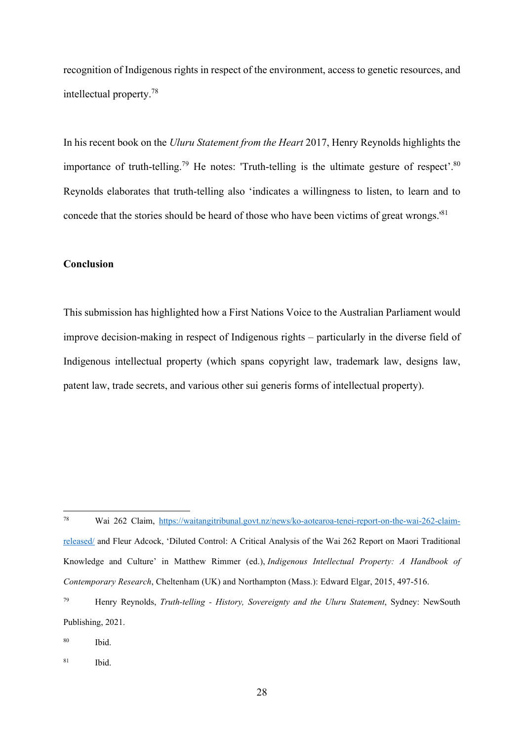recognition of Indigenous rights in respect of the environment, access to genetic resources, and intellectual property.78

In his recent book on the *Uluru Statement from the Heart* 2017, Henry Reynolds highlights the importance of truth-telling.<sup>79</sup> He notes: 'Truth-telling is the ultimate gesture of respect'. $80$ Reynolds elaborates that truth-telling also 'indicates a willingness to listen, to learn and to concede that the stories should be heard of those who have been victims of great wrongs.<sup>81</sup>

### **Conclusion**

This submission has highlighted how a First Nations Voice to the Australian Parliament would improve decision-making in respect of Indigenous rights – particularly in the diverse field of Indigenous intellectual property (which spans copyright law, trademark law, designs law, patent law, trade secrets, and various other sui generis forms of intellectual property).

 $80^{\circ}$ Ibid.

 $\bf 81$ Ibid.

<sup>78</sup>  Knowledge and Culture' in Matthew Rimmer (ed.), *Indigenous Intellectual Property: A Handbook of* 78 Wai 262 Claim, https://waitangitribunal.govt.nz/news/ko-aotearoa-tenei-report-on-the-wai-262-claimreleased/ and Fleur Adcock, 'Diluted Control: A Critical Analysis of the Wai 262 Report on Maori Traditional *Contemporary Research*, Cheltenham (UK) and Northampton (Mass.): Edward Elgar, 2015, 497-516.

<sup>79</sup> 79 Henry Reynolds, *Truth-telling - History, Sovereignty and the Uluru Statement*, Sydney: NewSouth Publishing, 2021.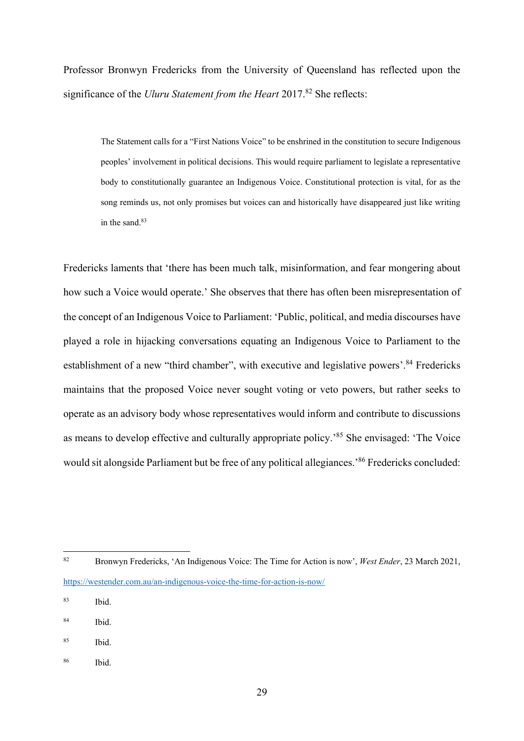Professor Bronwyn Fredericks from the University of Queensland has reflected upon the significance of the *Uluru Statement from the Heart* 2017.<sup>82</sup> She reflects:

 song reminds us, not only promises but voices can and historically have disappeared just like writing The Statement calls for a "First Nations Voice" to be enshrined in the constitution to secure Indigenous peoples' involvement in political decisions. This would require parliament to legislate a representative body to constitutionally guarantee an Indigenous Voice. Constitutional protection is vital, for as the in the sand.<sup>83</sup>

Fredericks laments that 'there has been much talk, misinformation, and fear mongering about how such a Voice would operate.' She observes that there has often been misrepresentation of the concept of an Indigenous Voice to Parliament: 'Public, political, and media discourses have played a role in hijacking conversations equating an Indigenous Voice to Parliament to the establishment of a new "third chamber", with executive and legislative powers'.<sup>84</sup> Fredericks maintains that the proposed Voice never sought voting or veto powers, but rather seeks to operate as an advisory body whose representatives would inform and contribute to discussions as means to develop effective and culturally appropriate policy.'85 She envisaged: 'The Voice would sit alongside Parliament but be free of any political allegiances.<sup>86</sup> Fredericks concluded:

86 Ibid.

 82 https://westender.com.au/an-indigenous-voice-the-time-for-action-is-now/<br><sup>83</sup> Ibid. Bronwyn Fredericks, 'An Indigenous Voice: The Time for Action is now', *West Ender*, 23 March 2021,

<sup>83</sup> 

<sup>84</sup> Ibid.

<sup>85</sup> Ibid.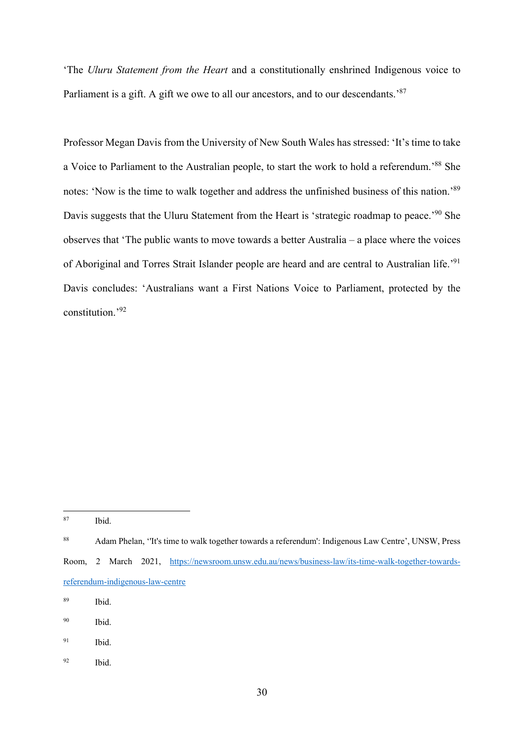'The *Uluru Statement from the Heart* and a constitutionally enshrined Indigenous voice to Parliament is a gift. A gift we owe to all our ancestors, and to our descendants.'<sup>87</sup>

Professor Megan Davis from the University of New South Wales has stressed: 'It's time to take a Voice to Parliament to the Australian people, to start the work to hold a referendum.'88 She notes: 'Now is the time to walk together and address the unfinished business of this nation.'89 Davis suggests that the Uluru Statement from the Heart is 'strategic roadmap to peace.'<sup>90</sup> She observes that 'The public wants to move towards a better Australia – a place where the voices of Aboriginal and Torres Strait Islander people are heard and are central to Australian life.'91 Davis concludes: 'Australians want a First Nations Voice to Parliament, protected by the constitution.'<sup>92</sup>

- $90\,$ Ibid.
- 91 Ibid.
- 92 Ibid.

<sup>87</sup> Ibid.

 $88\,$ referendum-indigenous-law-centre<br><sup>89</sup> Ibid. 88 Adam Phelan, ''It's time to walk together towards a referendum': Indigenous Law Centre', UNSW, Press Room, 2 March 2021, https://newsroom.unsw.edu.au/news/business-law/its-time-walk-together-towards-

<sup>89</sup>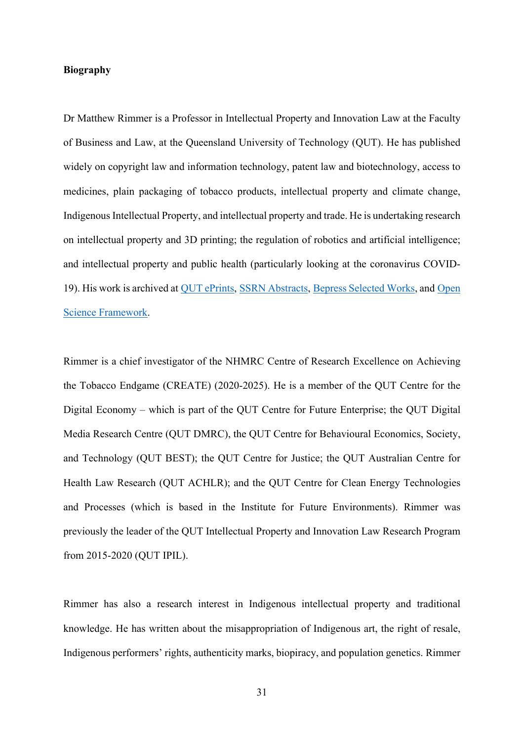## **Biography**

Dr Matthew Rimmer is a Professor in Intellectual Property and Innovation Law at the Faculty of Business and Law, at the Queensland University of Technology (QUT). He has published widely on copyright law and information technology, patent law and biotechnology, access to medicines, plain packaging of tobacco products, intellectual property and climate change, Indigenous Intellectual Property, and intellectual property and trade. He is undertaking research on intellectual property and 3D printing; the regulation of robotics and artificial intelligence; and intellectual property and public health (particularly looking at the coronavirus COVID-19). His work is archived at QUT ePrints, SSRN Abstracts, Bepress Selected Works, and Open Science Framework.

Rimmer is a chief investigator of the NHMRC Centre of Research Excellence on Achieving the Tobacco Endgame (CREATE) (2020-2025). He is a member of the QUT Centre for the Digital Economy – which is part of the QUT Centre for Future Enterprise; the QUT Digital Media Research Centre (QUT DMRC), the QUT Centre for Behavioural Economics, Society, and Technology (QUT BEST); the QUT Centre for Justice; the QUT Australian Centre for Health Law Research (QUT ACHLR); and the QUT Centre for Clean Energy Technologies and Processes (which is based in the Institute for Future Environments). Rimmer was previously the leader of the QUT Intellectual Property and Innovation Law Research Program from 2015-2020 (QUT IPIL).

Rimmer has also a research interest in Indigenous intellectual property and traditional knowledge. He has written about the misappropriation of Indigenous art, the right of resale, Indigenous performers' rights, authenticity marks, biopiracy, and population genetics. Rimmer